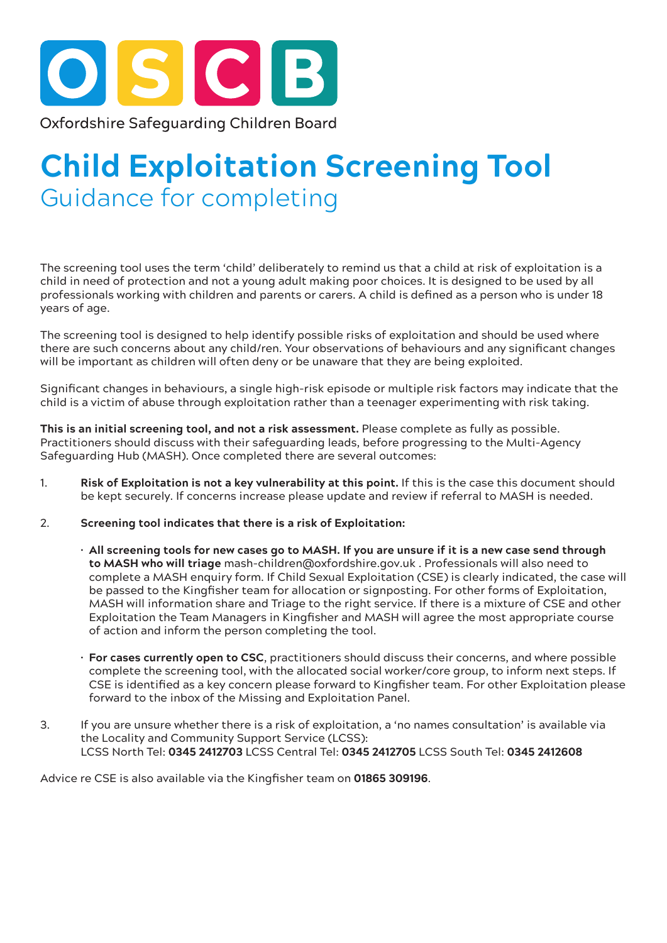

## **Child Exploitation Screening Tool** Guidance for completing

The screening tool uses the term 'child' deliberately to remind us that a child at risk of exploitation is a child in need of protection and not a young adult making poor choices. It is designed to be used by all professionals working with children and parents or carers. A child is defined as a person who is under 18 years of age.

The screening tool is designed to help identify possible risks of exploitation and should be used where there are such concerns about any child/ren. Your observations of behaviours and any significant changes will be important as children will often deny or be unaware that they are being exploited.

Significant changes in behaviours, a single high-risk episode or multiple risk factors may indicate that the child is a victim of abuse through exploitation rather than a teenager experimenting with risk taking.

**This is an initial screening tool, and not a risk assessment.** Please complete as fully as possible. Practitioners should discuss with their safeguarding leads, before progressing to the Multi-Agency Safeguarding Hub (MASH). Once completed there are several outcomes:

- 1. **Risk of Exploitation is not a key vulnerability at this point.** If this is the case this document should be kept securely. If concerns increase please update and review if referral to MASH is needed.
- 2. **Screening tool indicates that there is a risk of Exploitation:** 
	- **All screening tools for new cases go to MASH. If you are unsure if it is a new case send through to MASH who will triage** mash-children@oxfordshire.gov.uk . Professionals will also need to complete a MASH enquiry form. If Child Sexual Exploitation (CSE) is clearly indicated, the case will be passed to the Kingfisher team for allocation or signposting. For other forms of Exploitation, MASH will information share and Triage to the right service. If there is a mixture of CSE and other Exploitation the Team Managers in Kingfisher and MASH will agree the most appropriate course of action and inform the person completing the tool.
	- **For cases currently open to CSC**, practitioners should discuss their concerns, and where possible complete the screening tool, with the allocated social worker/core group, to inform next steps. If CSE is identified as a key concern please forward to Kingfisher team. For other Exploitation please forward to the inbox of the Missing and Exploitation Panel.
- 3. If you are unsure whether there is a risk of exploitation, a 'no names consultation' is available via the Locality and Community Support Service (LCSS): LCSS North Tel: **0345 2412703** LCSS Central Tel: **0345 2412705** LCSS South Tel: **0345 2412608**

Advice re CSE is also available via the Kingfisher team on **01865 309196**.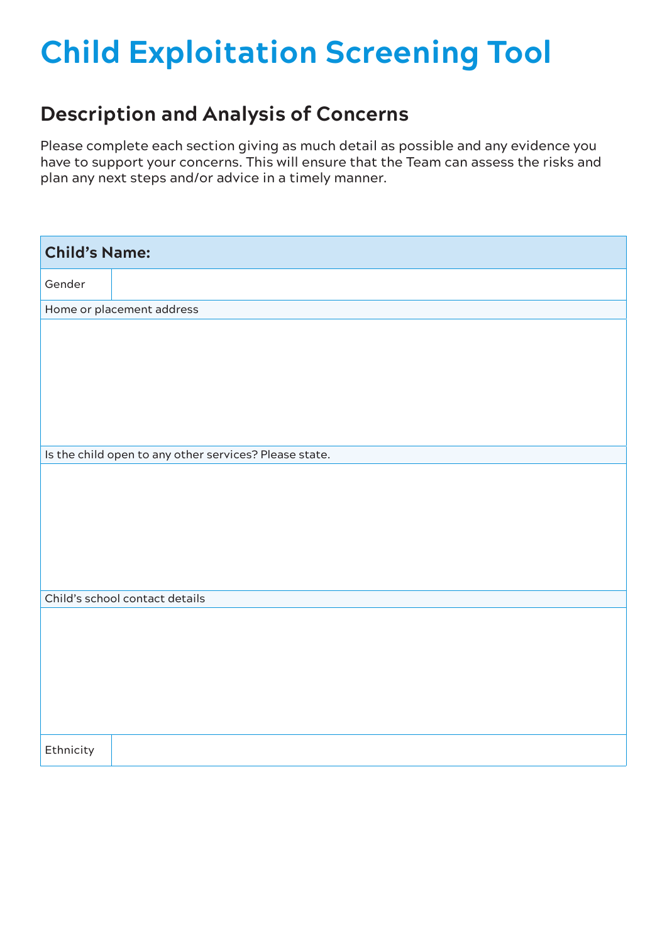## **Child Exploitation Screening Tool**

## **Description and Analysis of Concerns**

Please complete each section giving as much detail as possible and any evidence you have to support your concerns. This will ensure that the Team can assess the risks and plan any next steps and/or advice in a timely manner.

| <b>Child's Name:</b>                                   |
|--------------------------------------------------------|
| Gender                                                 |
| Home or placement address                              |
|                                                        |
|                                                        |
| Is the child open to any other services? Please state. |
|                                                        |
| Child's school contact details                         |
|                                                        |
| Ethnicity                                              |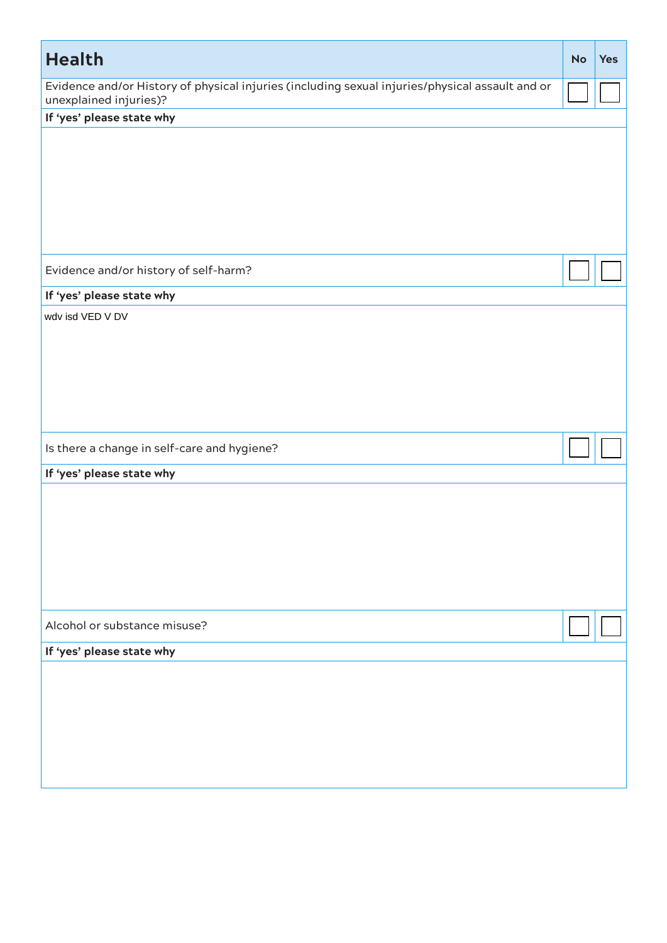| <b>Health</b>                                                                                                             | <b>No</b> | <b>Yes</b> |
|---------------------------------------------------------------------------------------------------------------------------|-----------|------------|
| Evidence and/or History of physical injuries (including sexual injuries/physical assault and or<br>unexplained injuries)? |           |            |
| If 'yes' please state why                                                                                                 |           |            |
|                                                                                                                           |           |            |
| Evidence and/or history of self-harm?                                                                                     |           |            |
| If 'yes' please state why                                                                                                 |           |            |
| wdv isd VED V DV                                                                                                          |           |            |
| Is there a change in self-care and hygiene?                                                                               |           |            |
| If 'yes' please state why                                                                                                 |           |            |
|                                                                                                                           |           |            |
| Alcohol or substance misuse?                                                                                              |           |            |
| If 'yes' please state why                                                                                                 |           |            |
|                                                                                                                           |           |            |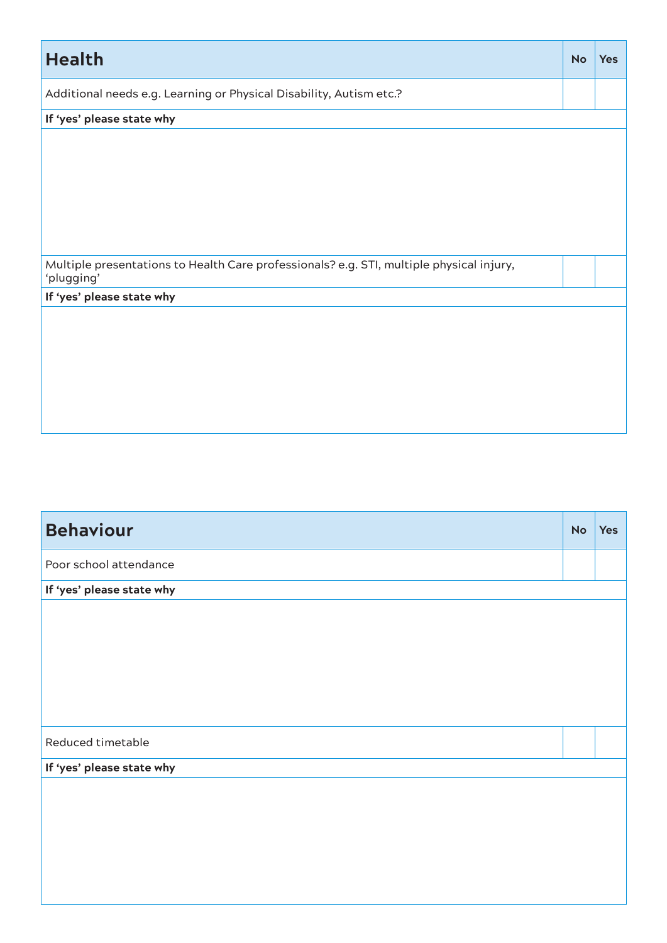| <b>Health</b>                                                                                          | <b>No</b> | <b>Yes</b> |
|--------------------------------------------------------------------------------------------------------|-----------|------------|
| Additional needs e.g. Learning or Physical Disability, Autism etc.?                                    |           |            |
| If 'yes' please state why                                                                              |           |            |
|                                                                                                        |           |            |
| Multiple presentations to Health Care professionals? e.g. STI, multiple physical injury,<br>'plugging' |           |            |
| If 'yes' please state why                                                                              |           |            |
|                                                                                                        |           |            |

| <b>Behaviour</b>          | <b>No</b> | <b>Yes</b> |
|---------------------------|-----------|------------|
| Poor school attendance    |           |            |
| If 'yes' please state why |           |            |
|                           |           |            |
| Reduced timetable         |           |            |
| If 'yes' please state why |           |            |
|                           |           |            |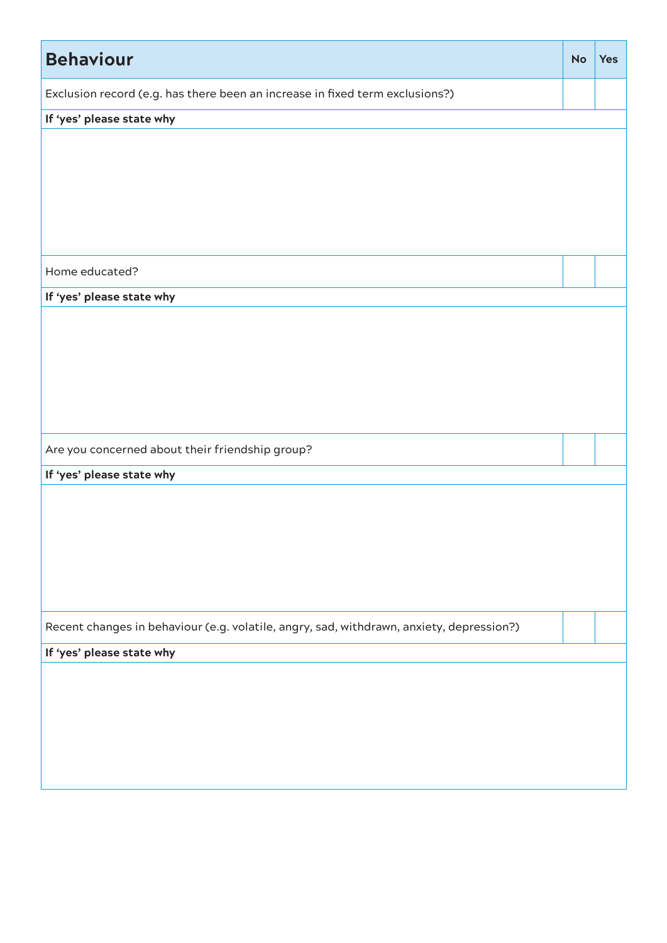| <b>Behaviour</b>                                                                         | <b>No</b> | <b>Yes</b> |
|------------------------------------------------------------------------------------------|-----------|------------|
| Exclusion record (e.g. has there been an increase in fixed term exclusions?)             |           |            |
| If 'yes' please state why                                                                |           |            |
|                                                                                          |           |            |
|                                                                                          |           |            |
|                                                                                          |           |            |
|                                                                                          |           |            |
|                                                                                          |           |            |
| Home educated?                                                                           |           |            |
| If 'yes' please state why                                                                |           |            |
|                                                                                          |           |            |
|                                                                                          |           |            |
|                                                                                          |           |            |
|                                                                                          |           |            |
|                                                                                          |           |            |
| Are you concerned about their friendship group?                                          |           |            |
| If 'yes' please state why                                                                |           |            |
|                                                                                          |           |            |
|                                                                                          |           |            |
|                                                                                          |           |            |
|                                                                                          |           |            |
|                                                                                          |           |            |
| Recent changes in behaviour (e.g. volatile, angry, sad, withdrawn, anxiety, depression?) |           |            |
| If 'yes' please state why                                                                |           |            |
|                                                                                          |           |            |
|                                                                                          |           |            |
|                                                                                          |           |            |
|                                                                                          |           |            |
|                                                                                          |           |            |
|                                                                                          |           |            |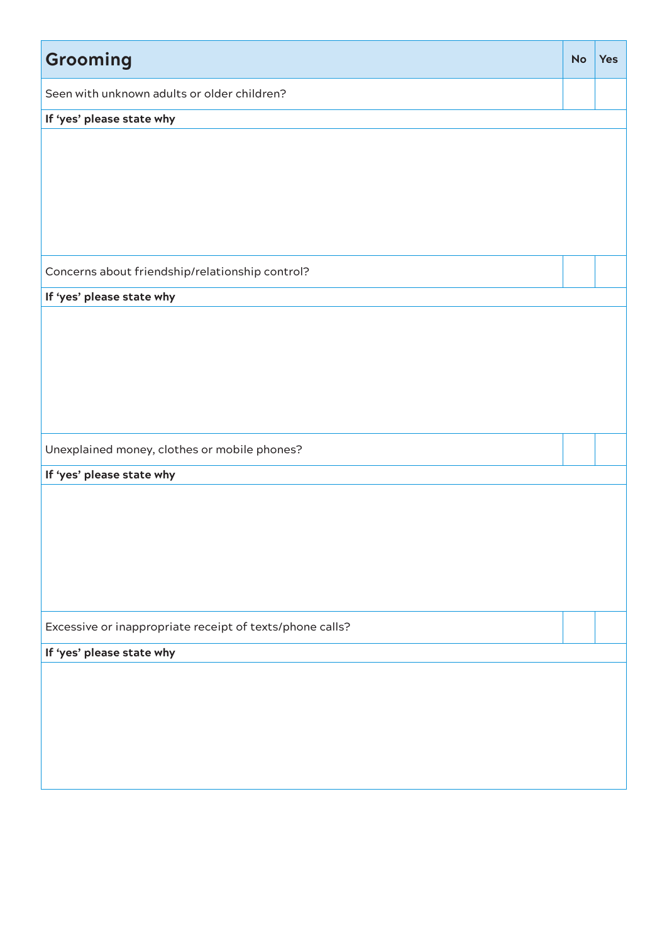| Grooming                                                 | <b>No</b> | <b>Yes</b> |
|----------------------------------------------------------|-----------|------------|
| Seen with unknown adults or older children?              |           |            |
| If 'yes' please state why                                |           |            |
|                                                          |           |            |
|                                                          |           |            |
|                                                          |           |            |
|                                                          |           |            |
|                                                          |           |            |
| Concerns about friendship/relationship control?          |           |            |
| If 'yes' please state why                                |           |            |
|                                                          |           |            |
|                                                          |           |            |
|                                                          |           |            |
|                                                          |           |            |
|                                                          |           |            |
| Unexplained money, clothes or mobile phones?             |           |            |
| If 'yes' please state why                                |           |            |
|                                                          |           |            |
|                                                          |           |            |
|                                                          |           |            |
|                                                          |           |            |
|                                                          |           |            |
| Excessive or inappropriate receipt of texts/phone calls? |           |            |
| If 'yes' please state why                                |           |            |
|                                                          |           |            |
|                                                          |           |            |
|                                                          |           |            |
|                                                          |           |            |
|                                                          |           |            |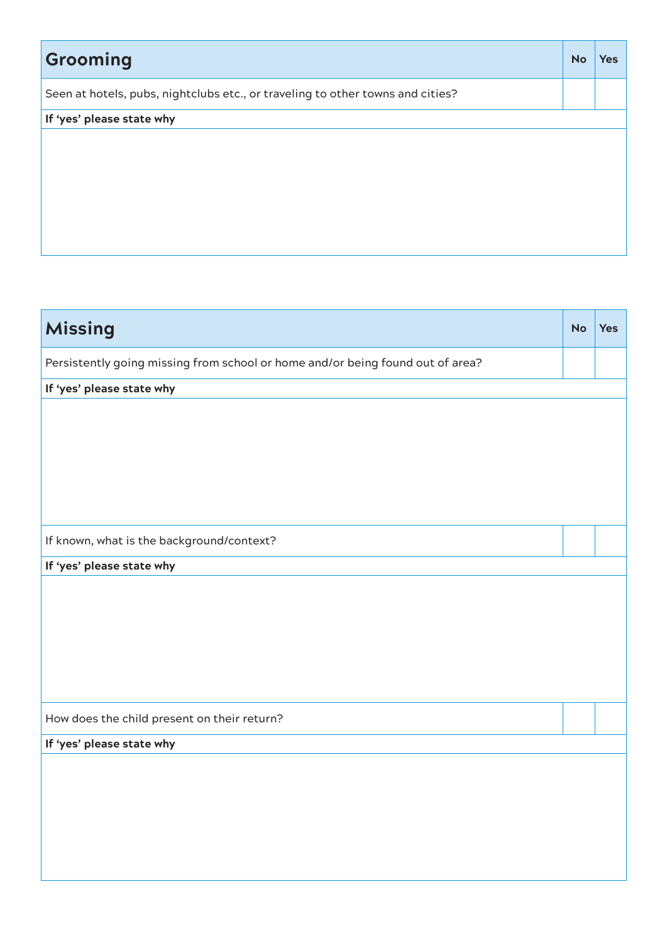| Grooming                                                                       | <b>No</b> | <b>Yes</b> |
|--------------------------------------------------------------------------------|-----------|------------|
| Seen at hotels, pubs, nightclubs etc., or traveling to other towns and cities? |           |            |
| If 'yes' please state why                                                      |           |            |
|                                                                                |           |            |
|                                                                                |           |            |
|                                                                                |           |            |

| <b>Missing</b>                                                                 | <b>No</b> | <b>Yes</b> |
|--------------------------------------------------------------------------------|-----------|------------|
| Persistently going missing from school or home and/or being found out of area? |           |            |
| If 'yes' please state why                                                      |           |            |
|                                                                                |           |            |
|                                                                                |           |            |
|                                                                                |           |            |
|                                                                                |           |            |
|                                                                                |           |            |
|                                                                                |           |            |
| If known, what is the background/context?                                      |           |            |
| If 'yes' please state why                                                      |           |            |
|                                                                                |           |            |
|                                                                                |           |            |
|                                                                                |           |            |
|                                                                                |           |            |
|                                                                                |           |            |
|                                                                                |           |            |
| How does the child present on their return?                                    |           |            |
| If 'yes' please state why                                                      |           |            |
|                                                                                |           |            |
|                                                                                |           |            |
|                                                                                |           |            |
|                                                                                |           |            |
|                                                                                |           |            |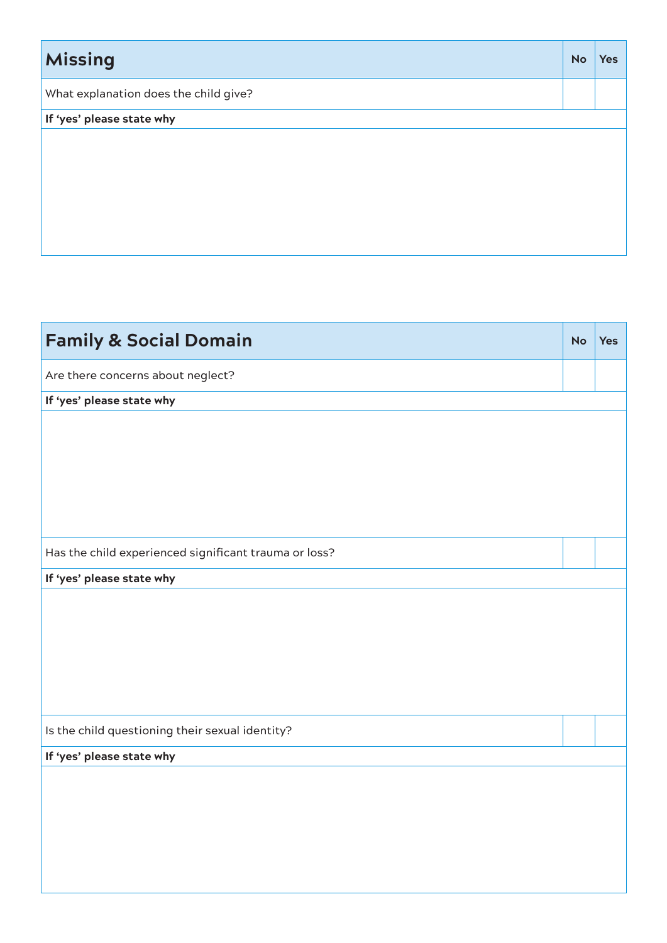| <b>Missing</b>                        | <b>No</b> | <b>Yes</b> |
|---------------------------------------|-----------|------------|
| What explanation does the child give? |           |            |
| If 'yes' please state why             |           |            |
|                                       |           |            |
|                                       |           |            |
|                                       |           |            |
|                                       |           |            |
|                                       |           |            |
|                                       |           |            |

| <b>Family &amp; Social Domain</b>                     | <b>No</b> | <b>Yes</b> |
|-------------------------------------------------------|-----------|------------|
| Are there concerns about neglect?                     |           |            |
| If 'yes' please state why                             |           |            |
|                                                       |           |            |
|                                                       |           |            |
|                                                       |           |            |
|                                                       |           |            |
|                                                       |           |            |
| Has the child experienced significant trauma or loss? |           |            |
| If 'yes' please state why                             |           |            |
|                                                       |           |            |
|                                                       |           |            |
|                                                       |           |            |
|                                                       |           |            |
|                                                       |           |            |
| Is the child questioning their sexual identity?       |           |            |
| If 'yes' please state why                             |           |            |
|                                                       |           |            |
|                                                       |           |            |
|                                                       |           |            |
|                                                       |           |            |
|                                                       |           |            |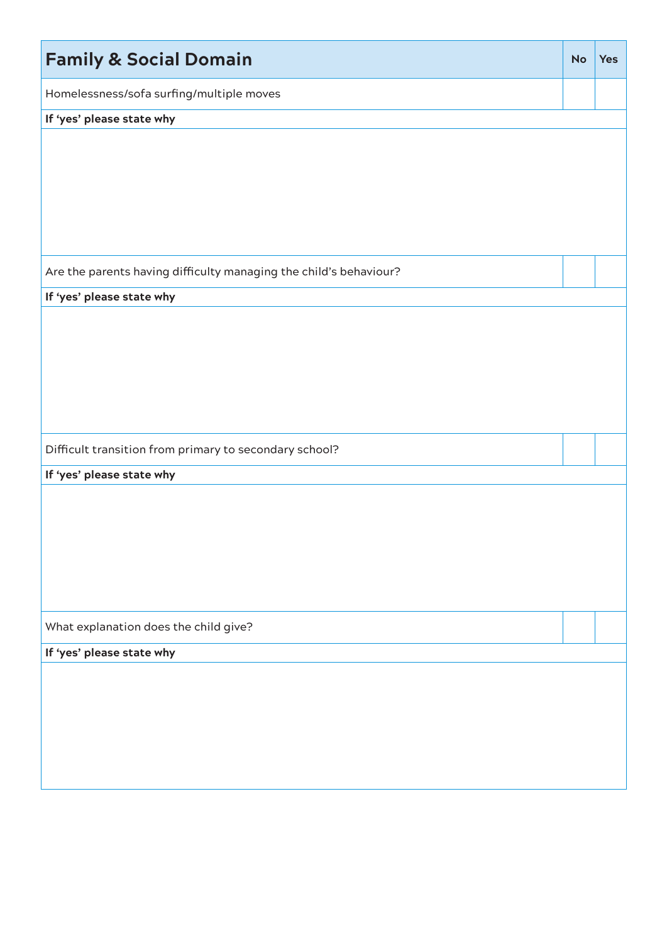| <b>Family &amp; Social Domain</b>                                 | <b>No</b> | <b>Yes</b> |
|-------------------------------------------------------------------|-----------|------------|
| Homelessness/sofa surfing/multiple moves                          |           |            |
| If 'yes' please state why                                         |           |            |
|                                                                   |           |            |
| Are the parents having difficulty managing the child's behaviour? |           |            |
| If 'yes' please state why                                         |           |            |
|                                                                   |           |            |
| Difficult transition from primary to secondary school?            |           |            |
| If 'yes' please state why                                         |           |            |
|                                                                   |           |            |
| What explanation does the child give?                             |           |            |
| If 'yes' please state why                                         |           |            |
|                                                                   |           |            |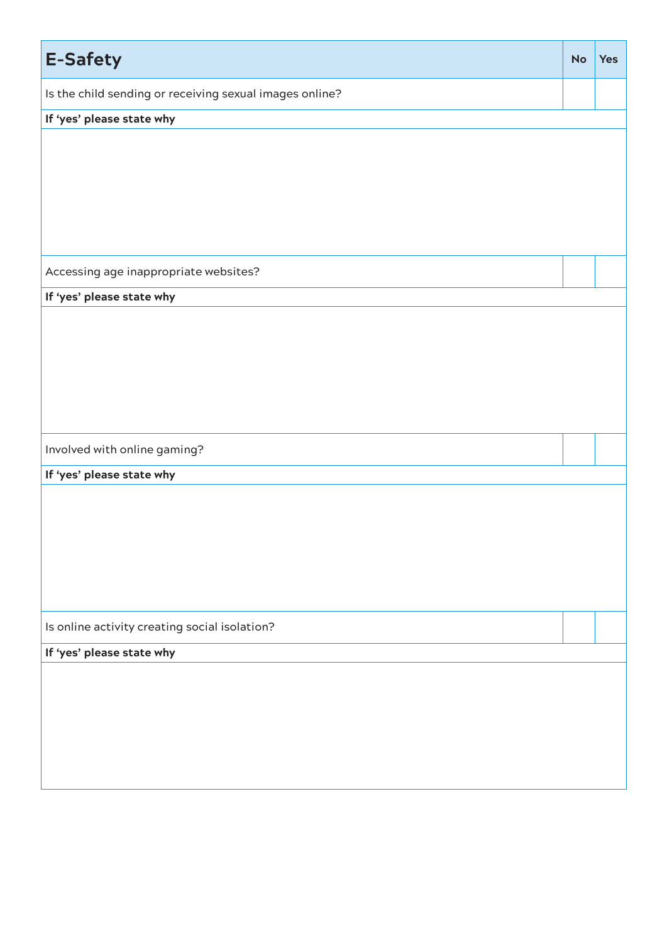| <b>E-Safety</b>                                         | <b>No</b> | <b>Yes</b> |
|---------------------------------------------------------|-----------|------------|
| Is the child sending or receiving sexual images online? |           |            |
| If 'yes' please state why                               |           |            |
|                                                         |           |            |
|                                                         |           |            |
|                                                         |           |            |
|                                                         |           |            |
|                                                         |           |            |
|                                                         |           |            |
| Accessing age inappropriate websites?                   |           |            |
| If 'yes' please state why                               |           |            |
|                                                         |           |            |
|                                                         |           |            |
|                                                         |           |            |
|                                                         |           |            |
|                                                         |           |            |
|                                                         |           |            |
| Involved with online gaming?                            |           |            |
| If 'yes' please state why                               |           |            |
|                                                         |           |            |
|                                                         |           |            |
|                                                         |           |            |
|                                                         |           |            |
|                                                         |           |            |
|                                                         |           |            |
| Is online activity creating social isolation?           |           |            |
| If 'yes' please state why                               |           |            |
|                                                         |           |            |
|                                                         |           |            |
|                                                         |           |            |
|                                                         |           |            |
|                                                         |           |            |
|                                                         |           |            |